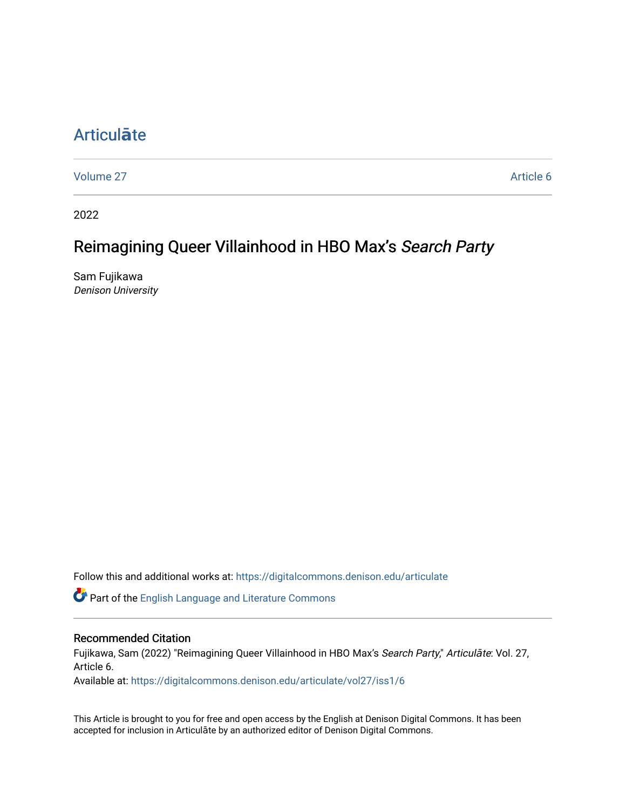# [Articul](https://digitalcommons.denison.edu/articulate)**ā**te

[Volume 27](https://digitalcommons.denison.edu/articulate/vol27) Article 6

2022

# Reimagining Queer Villainhood in HBO Max's Search Party

Sam Fujikawa Denison University

Follow this and additional works at: [https://digitalcommons.denison.edu/articulate](https://digitalcommons.denison.edu/articulate?utm_source=digitalcommons.denison.edu%2Farticulate%2Fvol27%2Fiss1%2F6&utm_medium=PDF&utm_campaign=PDFCoverPages)

Part of the [English Language and Literature Commons](https://network.bepress.com/hgg/discipline/455?utm_source=digitalcommons.denison.edu%2Farticulate%2Fvol27%2Fiss1%2F6&utm_medium=PDF&utm_campaign=PDFCoverPages)

#### Recommended Citation

Fujikawa, Sam (2022) "Reimagining Queer Villainhood in HBO Max's Search Party," Articulāte: Vol. 27, Article 6.

Available at: [https://digitalcommons.denison.edu/articulate/vol27/iss1/6](https://digitalcommons.denison.edu/articulate/vol27/iss1/6?utm_source=digitalcommons.denison.edu%2Farticulate%2Fvol27%2Fiss1%2F6&utm_medium=PDF&utm_campaign=PDFCoverPages)

This Article is brought to you for free and open access by the English at Denison Digital Commons. It has been accepted for inclusion in Articulāte by an authorized editor of Denison Digital Commons.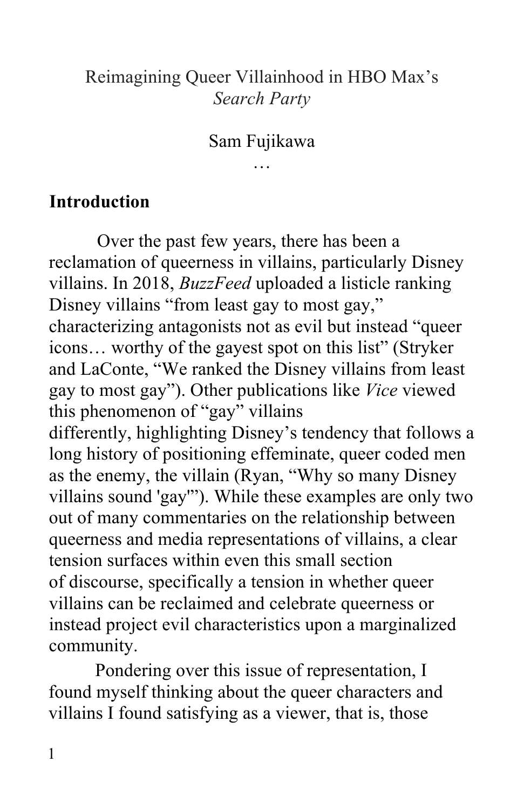### Reimagining Queer Villainhood in HBO Max's *Search Party*

#### Sam Fujikawa …

**Introduction** 

 Over the past few years, there has been a reclamation of queerness in villains, particularly Disney villains. In 2018, *BuzzFeed* uploaded a listicle ranking Disney villains "from least gay to most gay," characterizing antagonists not as evil but instead "queer icons… worthy of the gayest spot on this list" (Stryker and LaConte, "We ranked the Disney villains from least gay to most gay"). Other publications like *Vice* viewed as the enemy, the villain (Ryan, "Why so many Disney villains sound 'gay'"). While these examples are only two out of many commentaries on the relationship between queerness and media representations of villains, a clear villains can be reclaimed and celebrate queerness or community. community. Pondering over this issue of representation, I this phenomenon of "gay" villains differently, highlighting Disney's tendency that follows a long history of positioning effeminate, queer coded men tension surfaces within even this small section of discourse, specifically a tension in whether queer instead project evil characteristics upon a marginalized

 found myself thinking about the queer characters and villains I found satisfying as a viewer, that is, those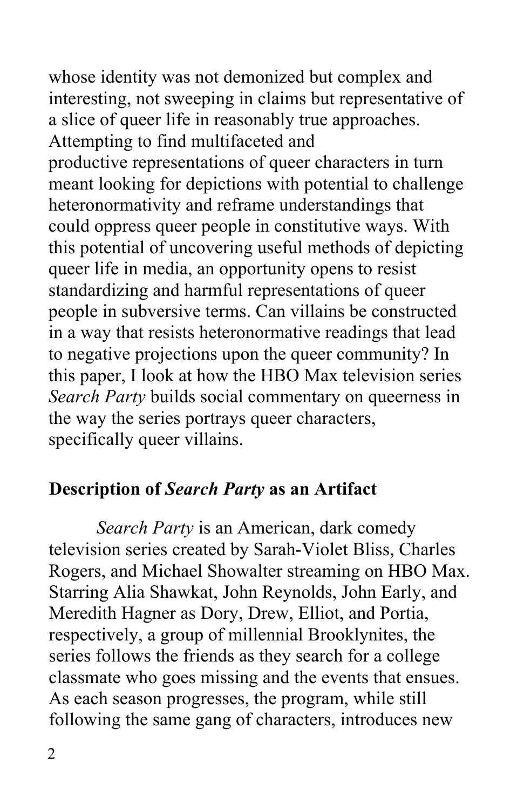whose identity was not demonized but complex and a slice of queer life in reasonably true approaches. Attempting to find multifaceted and productive representations of queer characters in turn meant looking for depictions with potential to challenge could oppress queer people in constitutive ways. With queer life in media, an opportunity opens to resist standardizing and harmful representations of queer people in subversive terms. Can villains be constructed this paper, I look at how the HBO Max television series *Search Party* builds social commentary on queerness in the way the series portrays queer characters, specifically queer villains. interesting, not sweeping in claims but representative of heteronormativity and reframe understandings that this potential of uncovering useful methods of depicting in a way that resists heteronormative readings that lead to negative projections upon the queer community? In

### **Description of** *Search Party* **as an Artifact**

 Rogers, and Michael Showalter streaming on HBO Max. Starring Alia Shawkat, John Reynolds, John Early, and Meredith Hagner as Dory, Drew, Elliot, and Portia, respectively, a group of millennial Brooklynites, the series follows the friends as they search for a college classmate who goes missing and the events that ensues. As each season progresses, the program, while still following the same gang of characters, introduces new *Search Party* is an American, dark comedy television series created by Sarah-Violet Bliss, Charles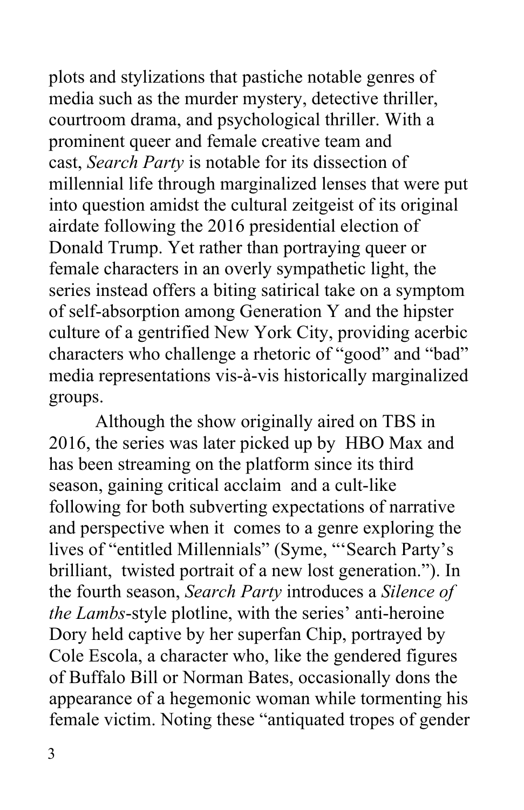plots and stylizations that pastiche notable genres of media such as the murder mystery, detective thriller, courtroom drama, and psychological thriller. With a prominent queer and female creative team and millennial life through marginalized lenses that were put airdate following the 2016 presidential election of Donald Trump. Yet rather than portraying queer or female characters in an overly sympathetic light, the of self-absorption among Generation Y and the hipster culture of a gentrified New York City, providing acerbic characters who challenge a rhetoric of "good" and "bad" groups. cast, *Search Party* is notable for its dissection of into question amidst the cultural zeitgeist of its original series instead offers a biting satirical take on a symptom media representations vis-à-vis historically marginalized

 2016, the series was later picked up by HBO Max and has been streaming on the platform since its third season, gaining critical acclaim and a cult-like following for both subverting expectations of narrative and perspective when it comes to a genre exploring the brilliant, twisted portrait of a new lost generation."). In  the fourth season, *Search Party* introduces a *Silence of*  Dory held captive by her superfan Chip, portrayed by Cole Escola, a character who, like the gendered figures of Buffalo Bill or Norman Bates, occasionally dons the Although the show originally aired on TBS in lives of "entitled Millennials" (Syme, "'Search Party's *the Lambs*-style plotline, with the series' anti-heroine appearance of a hegemonic woman while tormenting his female victim. Noting these "antiquated tropes of gender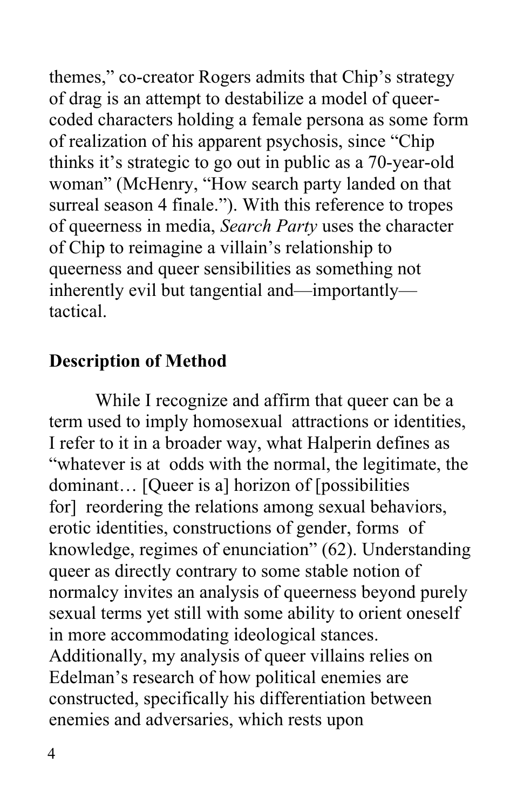of drag is an attempt to destabilize a model of queer- of realization of his apparent psychosis, since "Chip woman" (McHenry, "How search party landed on that surreal season 4 finale."). With this reference to tropes of queerness in media, *Search Party* uses the character of Chip to reimagine a villain's relationship to queerness and queer sensibilities as something not tactical. themes," co-creator Rogers admits that Chip's strategy coded characters holding a female persona as some form thinks it's strategic to go out in public as a 70-year-old inherently evil but tangential and—importantly—

### **Description of Method**

 While I recognize and affirm that queer can be a term used to imply homosexual attractions or identities, I refer to it in a broader way, what Halperin defines as "whatever is at odds with the normal, the legitimate, the dominant… [Queer is a] horizon of [possibilities for] reordering the relations among sexual behaviors, erotic identities, constructions of gender, forms of knowledge, regimes of enunciation" (62). Understanding queer as directly contrary to some stable notion of normalcy invites an analysis of queerness beyond purely sexual terms yet still with some ability to orient oneself in more accommodating ideological stances. Additionally, my analysis of queer villains relies on Edelman's research of how political enemies are constructed, specifically his differentiation between enemies and adversaries, which rests upon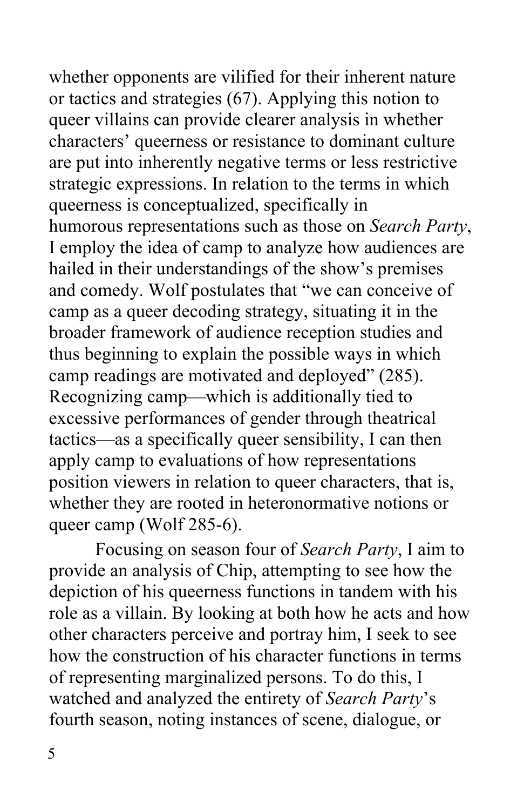whether opponents are vilified for their inherent nature or tactics and strategies (67). Applying this notion to queer villains can provide clearer analysis in whether characters' queerness or resistance to dominant culture are put into inherently negative terms or less restrictive strategic expressions. In relation to the terms in which queerness is conceptualized, specifically in humorous representations such as those on *Search Party*, I employ the idea of camp to analyze how audiences are hailed in their understandings of the show's premises and comedy. Wolf postulates that "we can conceive of camp as a queer decoding strategy, situating it in the broader framework of audience reception studies and thus beginning to explain the possible ways in which camp readings are motivated and deployed" (285). excessive performances of gender through theatrical tactics—as a specifically queer sensibility, I can then apply camp to evaluations of how representations position viewers in relation to queer characters, that is, whether they are rooted in heteronormative notions or queer camp (Wolf 285-6). Recognizing camp—which is additionally tied to

 Focusing on season four of *Search Party*, I aim to provide an analysis of Chip, attempting to see how the depiction of his queerness functions in tandem with his role as a villain. By looking at both how he acts and how other characters perceive and portray him, I seek to see how the construction of his character functions in terms watched and analyzed the entirety of *Search Party*'s fourth season, noting instances of scene, dialogue, or of representing marginalized persons. To do this, I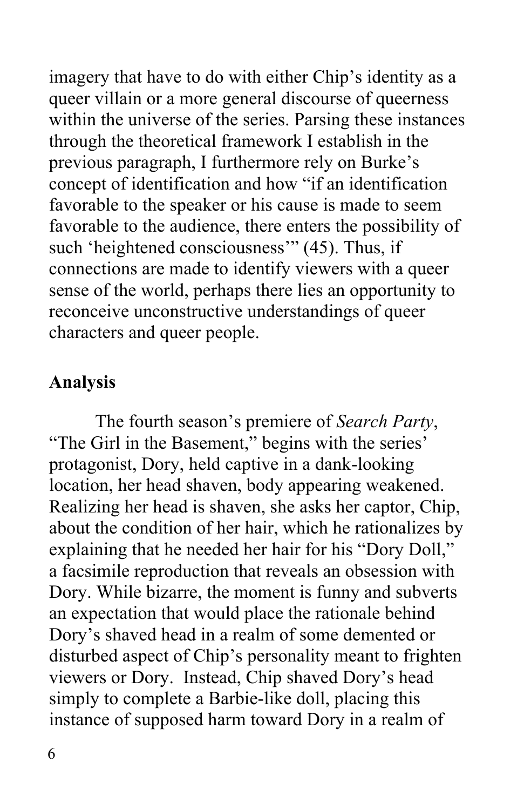queer villain or a more general discourse of queerness within the universe of the series. Parsing these instances through the theoretical framework I establish in the previous paragraph, I furthermore rely on Burke's concept of identification and how "if an identification favorable to the speaker or his cause is made to seem favorable to the audience, there enters the possibility of such 'heightened consciousness'" (45). Thus, if connections are made to identify viewers with a queer sense of the world, perhaps there lies an opportunity to characters and queer people. imagery that have to do with either Chip's identity as a reconceive unconstructive understandings of queer

### **Analysis**

 The fourth season's premiere of *Search Party*, "The Girl in the Basement," begins with the series' protagonist, Dory, held captive in a dank-looking location, her head shaven, body appearing weakened. Realizing her head is shaven, she asks her captor, Chip, about the condition of her hair, which he rationalizes by explaining that he needed her hair for his "Dory Doll," a facsimile reproduction that reveals an obsession with Dory. While bizarre, the moment is funny and subverts Dory's shaved head in a realm of some demented or disturbed aspect of Chip's personality meant to frighten viewers or Dory. Instead, Chip shaved Dory's head simply to complete a Barbie-like doll, placing this instance of supposed harm toward Dory in a realm of an expectation that would place the rationale behind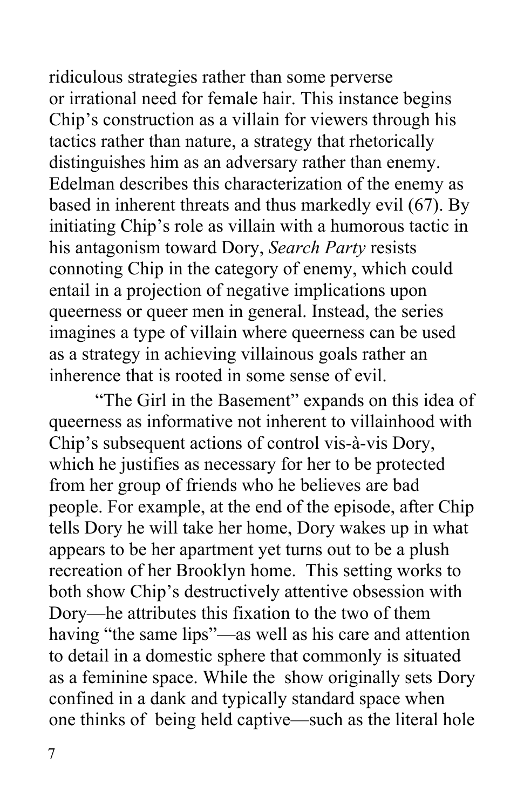ridiculous strategies rather than some perverse Chip's construction as a villain for viewers through his distinguishes him as an adversary rather than enemy. Edelman describes this characterization of the enemy as his antagonism toward Dory, *Search Party* resists connoting Chip in the category of enemy, which could entail in a projection of negative implications upon queerness or queer men in general. Instead, the series inherence that is rooted in some sense of evil. or irrational need for female hair. This instance begins tactics rather than nature, a strategy that rhetorically based in inherent threats and thus markedly evil (67). By initiating Chip's role as villain with a humorous tactic in imagines a type of villain where queerness can be used as a strategy in achieving villainous goals rather an

 inherence that is rooted in some sense of evil. "The Girl in the Basement" expands on this idea of queerness as informative not inherent to villainhood with Chip's subsequent actions of control vis-à-vis Dory, which he justifies as necessary for her to be protected from her group of friends who he believes are bad people. For example, at the end of the episode, after Chip appears to be her apartment yet turns out to be a plush recreation of her Brooklyn home. This setting works to both show Chip's destructively attentive obsession with Dory—he attributes this fixation to the two of them having "the same lips"—as well as his care and attention as a feminine space. While the show originally sets Dory confined in a dank and typically standard space when one thinks of being held captive—such as the literal hole tells Dory he will take her home, Dory wakes up in what to detail in a domestic sphere that commonly is situated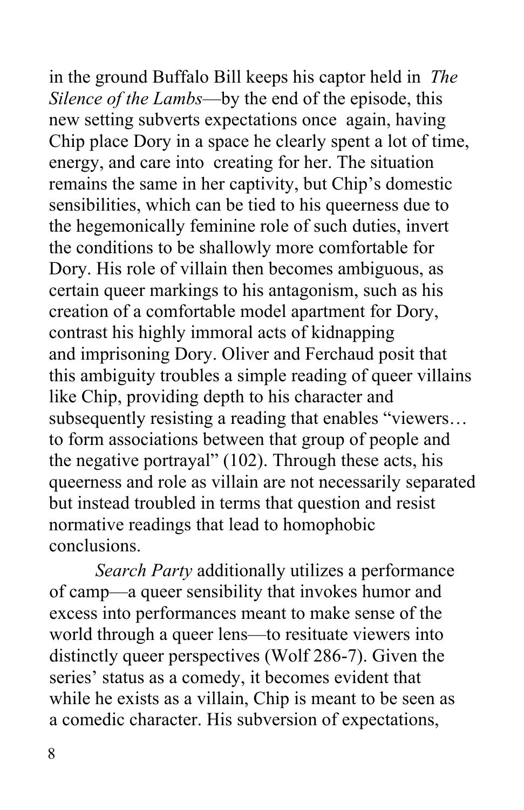in the ground Buffalo Bill keeps his captor held in *The Silence of the Lambs*—by the end of the episode, this new setting subverts expectations once again, having Chip place Dory in a space he clearly spent a lot of time, energy, and care into creating for her. The situation remains the same in her captivity, but Chip's domestic sensibilities, which can be tied to his queerness due to the hegemonically feminine role of such duties, invert Dory. His role of villain then becomes ambiguous, as certain queer markings to his antagonism, such as his creation of a comfortable model apartment for Dory, contrast his highly immoral acts of kidnapping and imprisoning Dory. Oliver and Ferchaud posit that this ambiguity troubles a simple reading of queer villains subsequently resisting a reading that enables "viewers… the negative portrayal" (102). Through these acts, his queerness and role as villain are not necessarily separated but instead troubled in terms that question and resist normative readings that lead to homophobic the conditions to be shallowly more comfortable for like Chip, providing depth to his character and to form associations between that group of people and conclusions.

 of camp—a queer sensibility that invokes humor and excess into performances meant to make sense of the world through a queer lens—to resituate viewers into distinctly queer perspectives (Wolf 286-7). Given the series' status as a comedy, it becomes evident that while he exists as a villain, Chip is meant to be seen as a comedic character. His subversion of expectations, *Search Party* additionally utilizes a performance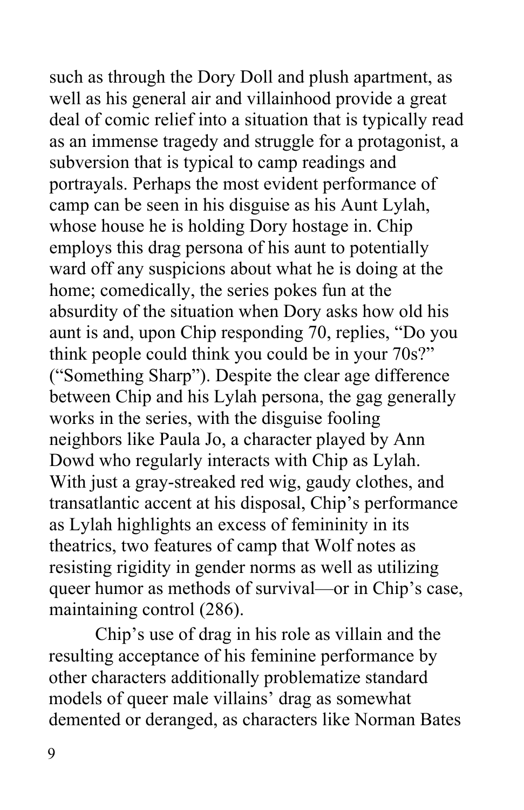such as through the Dory Doll and plush apartment, as well as his general air and villainhood provide a great deal of comic relief into a situation that is typically read as an immense tragedy and struggle for a protagonist, a portrayals. Perhaps the most evident performance of camp can be seen in his disguise as his Aunt Lylah, whose house he is holding Dory hostage in. Chip ward off any suspicions about what he is doing at the home; comedically, the series pokes fun at the absurdity of the situation when Dory asks how old his aunt is and, upon Chip responding 70, replies, "Do you think people could think you could be in your 70s?" ("Something Sharp"). Despite the clear age difference between Chip and his Lylah persona, the gag generally works in the series, with the disguise fooling neighbors like Paula Jo, a character played by Ann Dowd who regularly interacts with Chip as Lylah. With just a gray-streaked red wig, gaudy clothes, and transatlantic accent at his disposal, Chip's performance as Lylah highlights an excess of femininity in its resisting rigidity in gender norms as well as utilizing queer humor as methods of survival—or in Chip's case, maintaining control (286). subversion that is typical to camp readings and employs this drag persona of his aunt to potentially theatrics, two features of camp that Wolf notes as

maintaining control (286).<br>Chip's use of drag in his role as villain and the resulting acceptance of his feminine performance by other characters additionally problematize standard models of queer male villains' drag as somewhat demented or deranged, as characters like Norman Bates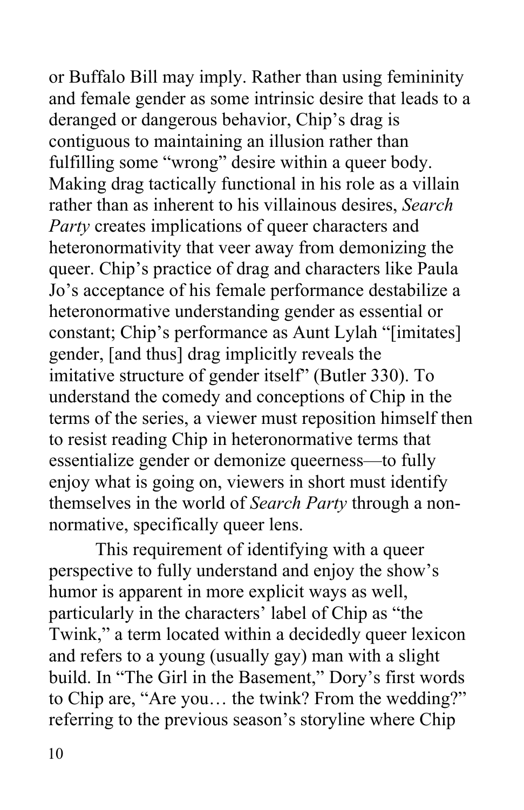or Buffalo Bill may imply. Rather than using femininity and female gender as some intrinsic desire that leads to a deranged or dangerous behavior, Chip's drag is contiguous to maintaining an illusion rather than fulfilling some "wrong" desire within a queer body. Making drag tactically functional in his role as a villain rather than as inherent to his villainous desires, *Search*  heteronormativity that veer away from demonizing the queer. Chip's practice of drag and characters like Paula Jo's acceptance of his female performance destabilize a heteronormative understanding gender as essential or constant; Chip's performance as Aunt Lylah "[imitates] gender, [and thus] drag implicitly reveals the imitative structure of gender itself" (Butler 330). To understand the comedy and conceptions of Chip in the to resist reading Chip in heteronormative terms that essentialize gender or demonize queerness—to fully enjoy what is going on, viewers in short must identify normative, specifically queer lens. *Party* creates implications of queer characters and terms of the series, a viewer must reposition himself then themselves in the world of *Search Party* through a non-

normative, specifically queer lens.<br>This requirement of identifying with a queer humor is apparent in more explicit ways as well, particularly in the characters' label of Chip as "the Twink," a term located within a decidedly queer lexicon and refers to a young (usually gay) man with a slight build. In "The Girl in the Basement," Dory's first words referring to the previous season's storyline where Chip perspective to fully understand and enjoy the show's to Chip are, "Are you… the twink? From the wedding?"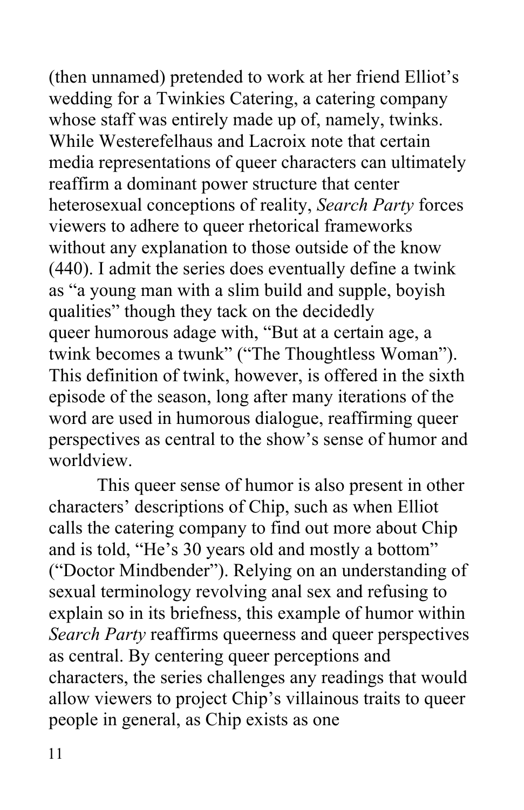(then unnamed) pretended to work at her friend Elliot's wedding for a Twinkies Catering, a catering company whose staff was entirely made up of, namely, twinks. While Westerefelhaus and Lacroix note that certain media representations of queer characters can ultimately reaffirm a dominant power structure that center heterosexual conceptions of reality, *Search Party* forces viewers to adhere to queer rhetorical frameworks without any explanation to those outside of the know (440). I admit the series does eventually define a twink as "a young man with a slim build and supple, boyish queer humorous adage with, "But at a certain age, a This definition of twink, however, is offered in the sixth episode of the season, long after many iterations of the word are used in humorous dialogue, reaffirming queer perspectives as central to the show's sense of humor and qualities" though they tack on the decidedly twink becomes a twunk" ("The Thoughtless Woman").

 worldview. This queer sense of humor is also present in other characters' descriptions of Chip, such as when Elliot calls the catering company to find out more about Chip and is told, "He's 30 years old and mostly a bottom" ("Doctor Mindbender"). Relying on an understanding of sexual terminology revolving anal sex and refusing to explain so in its briefness, this example of humor within *Search Party* reaffirms queerness and queer perspectives as central. By centering queer perceptions and characters, the series challenges any readings that would allow viewers to project Chip's villainous traits to queer people in general, as Chip exists as one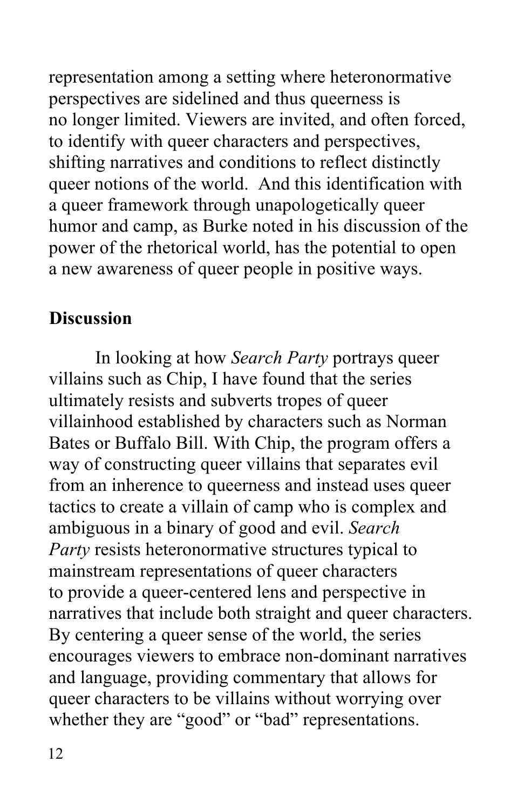representation among a setting where heteronormative perspectives are sidelined and thus queerness is no longer limited. Viewers are invited, and often forced, shifting narratives and conditions to reflect distinctly queer notions of the world. And this identification with a queer framework through unapologetically queer humor and camp, as Burke noted in his discussion of the power of the rhetorical world, has the potential to open a new awareness of queer people in positive ways. to identify with queer characters and perspectives,

#### **Discussion**

 In looking at how *Search Party* portrays queer villains such as Chip, I have found that the series ultimately resists and subverts tropes of queer villainhood established by characters such as Norman Bates or Buffalo Bill. With Chip, the program offers a way of constructing queer villains that separates evil from an inherence to queerness and instead uses queer tactics to create a villain of camp who is complex and ambiguous in a binary of good and evil. *Search Party* resists heteronormative structures typical to mainstream representations of queer characters to provide a queer-centered lens and perspective in narratives that include both straight and queer characters. By centering a queer sense of the world, the series encourages viewers to embrace non-dominant narratives and language, providing commentary that allows for queer characters to be villains without worrying over whether they are "good" or "bad" representations.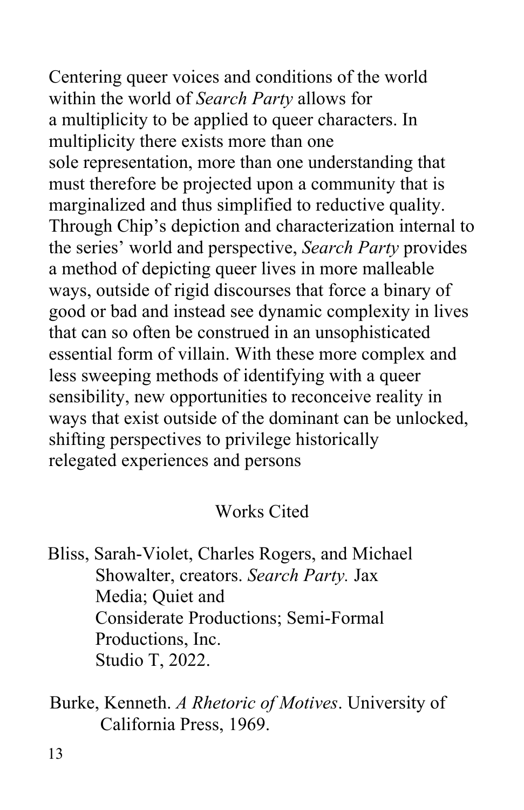Centering queer voices and conditions of the world within the world of *Search Party* allows for a multiplicity to be applied to queer characters. In multiplicity there exists more than one must therefore be projected upon a community that is marginalized and thus simplified to reductive quality. Through Chip's depiction and characterization internal to a method of depicting queer lives in more malleable ways, outside of rigid discourses that force a binary of good or bad and instead see dynamic complexity in lives essential form of villain. With these more complex and less sweeping methods of identifying with a queer sensibility, new opportunities to reconceive reality in ways that exist outside of the dominant can be unlocked, relegated experiences and persons sole representation, more than one understanding that the series' world and perspective, *Search Party* provides that can so often be construed in an unsophisticated shifting perspectives to privilege historically

### Works Cited

 Bliss, Sarah-Violet, Charles Rogers, and Michael Showalter, creators. *Search Party.* Jax Media; Quiet and Productions, Inc. Productions, Inc.<br>Studio T, 2022. Considerate Productions; Semi-Formal

 Burke, Kenneth. *A Rhetoric of Motives*. University of California Press, 1969.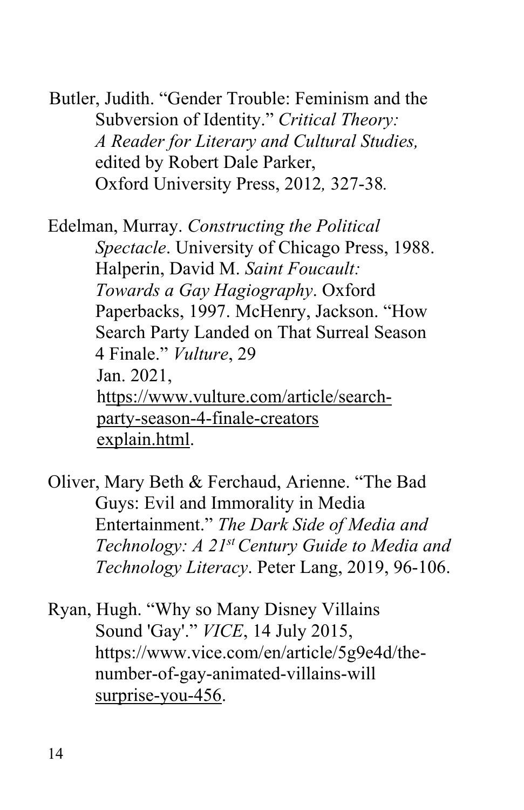Butler, Judith. "Gender Trouble: Feminism and the Subversion of Identity." *Critical Theory:*  edited by Robert Dale Parker, *A Reader for Literary and Cultural Studies,*  Oxford University Press, 2012*,* 327-38*.* 

 Edelman, Murray. *Constructing the Political*  Halperin, David M. *Saint Foucault: Towards a Gay Hagiography*. Oxford Paperbacks, 1997. McHenry, Jackson. "How Search Party Landed on That Surreal Season 4 Finale." *Vulture*, 29 Jan. 2021, Jan. 2021. explain.html. explain.html.<br>Oliver, Mary Beth & Ferchaud, Arienne. "The Bad *Spectacle*. University of Chicago Press, 1988. <https://www.vulture.com/article/search>party-season-4-finale-creators

 Guys: Evil and Immorality in Media  Entertainment." *The Dark Side of Media and Technology: A 21st Century Guide to Media and*  Technology Literacy. Peter Lang, 2019, 96-106. *Technology Literacy*. Peter Lang, 2019, 96-106. Ryan, Hugh. "Why so Many Disney Villains

surprise-you-456.<br>14 Sound 'Gay'." *VICE*, 14 July 2015, <https://www.vice.com/en/article/5g9e4d/the>number-of-gay-animated-villains-will